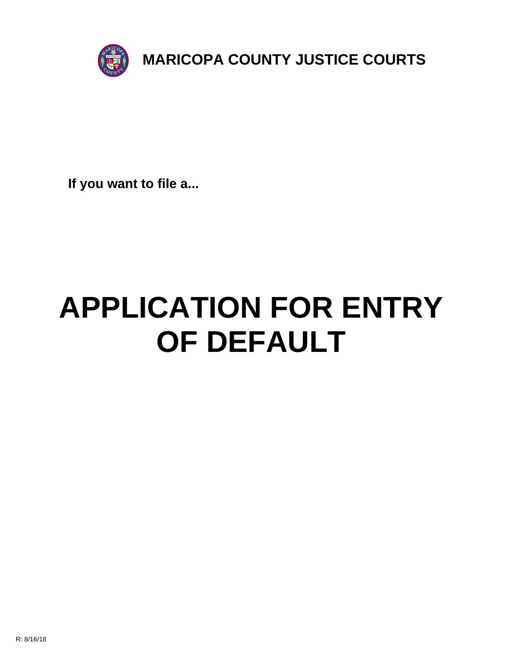

**If you want to file a...**

# **APPLICATION FOR ENTRY OF DEFAULT**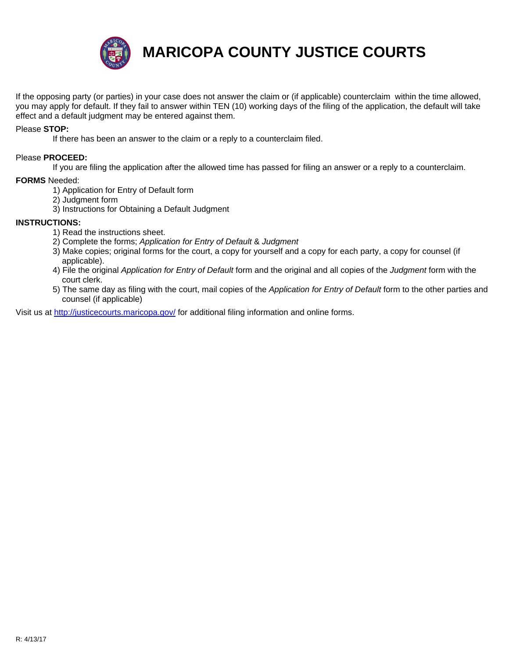

**MARICOPA COUNTY JUSTICE COURTS**

If the opposing party (or parties) in your case does not answer the claim or (if applicable) counterclaim within the time allowed, you may apply for default. If they fail to answer within TEN (10) working days of the filing of the application, the default will take effect and a default judgment may be entered against them.

## Please **STOP:**

If there has been an answer to the claim or a reply to a counterclaim filed.

#### Please **PROCEED:**

If you are filing the application after the allowed time has passed for filing an answer or a reply to a counterclaim.

#### **FORMS** Needed:

- 1) Application for Entry of Default form
- 2) Judgment form
- 3) Instructions for Obtaining a Default Judgment

#### **INSTRUCTIONS:**

- 1) Read the instructions sheet.
- 2) Complete the forms; *Application for Entry of Default* & *Judgment*
- 3) Make copies; original forms for the court, a copy for yourself and a copy for each party, a copy for counsel (if applicable).
- 4) File the original *Application for Entry of Default* form and the original and all copies of the *Judgment* form with the [court clerk.](http://justicecourts.maricopa.gov/)
- 5) The same day as filing with the court, mail copies of the *Application for Entry of Default* form to the other parties and counsel (if applicable)

Visit us at http://justicecourts.maricopa.gov/ for additional filing information and online forms.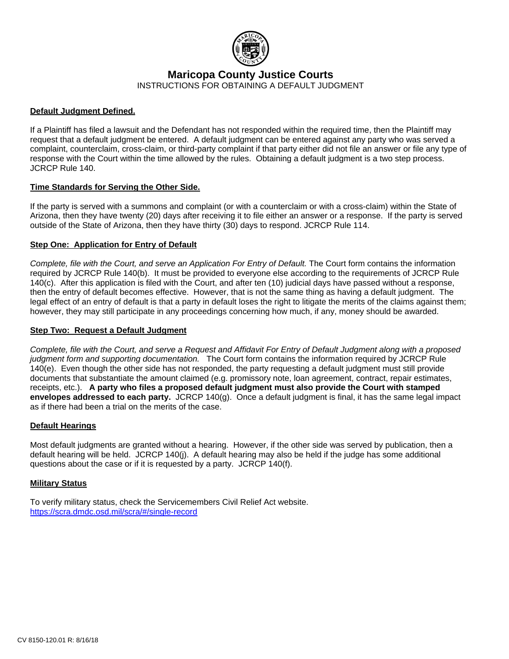

**Maricopa County Justice Courts**

INSTRUCTIONS FOR OBTAINING A DEFAULT JUDGMENT

## **Default Judgment Defined.**

If a Plaintiff has filed a lawsuit and the Defendant has not responded within the required time, then the Plaintiff may request that a default judgment be entered. A default judgment can be entered against any party who was served a complaint, counterclaim, cross-claim, or third-party complaint if that party either did not file an answer or file any type of response with the Court within the time allowed by the rules. Obtaining a default judgment is a two step process. JCRCP Rule 140.

## **Time Standards for Serving the Other Side.**

If the party is served with a summons and complaint (or with a counterclaim or with a cross-claim) within the State of Arizona, then they have twenty (20) days after receiving it to file either an answer or a response. If the party is served outside of the State of Arizona, then they have thirty (30) days to respond. JCRCP Rule 114.

## **Step One: Application for Entry of Default**

*Complete, file with the Court, and serve an Application For Entry of Default.* The Court form contains the information required by JCRCP Rule 140(b). It must be provided to everyone else according to the requirements of JCRCP Rule 140(c). After this application is filed with the Court, and after ten (10) judicial days have passed without a response, then the entry of default becomes effective. However, that is not the same thing as having a default judgment. The legal effect of an entry of default is that a party in default loses the right to litigate the merits of the claims against them; however, they may still participate in any proceedings concerning how much, if any, money should be awarded.

#### **Step Two: Request a Default Judgment**

*Complete, file with the Court, and serve a Request and Affidavit For Entry of Default Judgment along with a proposed judgment form and supporting documentation.* The Court form contains the information required by JCRCP Rule 140(e). Even though the other side has not responded, the party requesting a default judgment must still provide documents that substantiate the amount claimed (e.g. promissory note, loan agreement, contract, repair estimates, receipts, etc.). **A party who files a proposed default judgment must also provide the Court with stamped envelopes addressed to each party.** JCRCP 140(g). Once a default judgment is final, it has the same legal impact as if there had been a trial on the merits of the case.

#### **Default Hearings**

Most default judgments are granted without a hearing. However, if the other side was served by publication, then a default hearing will be held. JCRCP 140(j). A default hearing may also be held if the judge has some additional questions about the case or if it is requested by a party. JCRCP 140(f).

#### **Military Status**

To verify military status, check the Servicemembers Civil Relief Act website. https://scra.dmdc.osd.mil/scra/#/single-record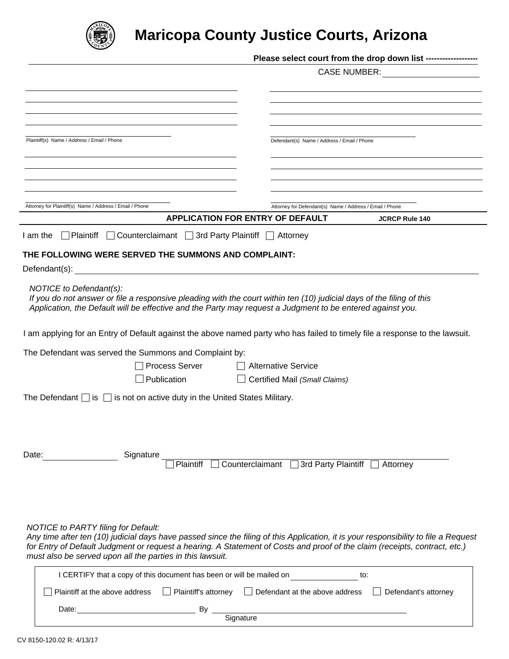

## **Maricopa County Justice Courts, Arizona**

| Plaintiff(s) Name / Address / Email / Phone                                                                                                                                                                                                                    | Defendant(s) Name / Address / Email / Phone                                                                                         |
|----------------------------------------------------------------------------------------------------------------------------------------------------------------------------------------------------------------------------------------------------------------|-------------------------------------------------------------------------------------------------------------------------------------|
|                                                                                                                                                                                                                                                                |                                                                                                                                     |
|                                                                                                                                                                                                                                                                |                                                                                                                                     |
|                                                                                                                                                                                                                                                                |                                                                                                                                     |
|                                                                                                                                                                                                                                                                |                                                                                                                                     |
| Attorney for Plaintiff(s) Name / Address / Email / Phone                                                                                                                                                                                                       | Attorney for Defendant(s) Name / Address / Email / Phone<br><b>APPLICATION FOR ENTRY OF DEFAULT</b>                                 |
|                                                                                                                                                                                                                                                                | <b>JCRCP Rule 140</b>                                                                                                               |
| □ Plaintiff □ Counterclaimant □ 3rd Party Plaintiff □ Attorney<br>I am the                                                                                                                                                                                     |                                                                                                                                     |
| THE FOLLOWING WERE SERVED THE SUMMONS AND COMPLAINT:                                                                                                                                                                                                           |                                                                                                                                     |
|                                                                                                                                                                                                                                                                |                                                                                                                                     |
| NOTICE to Defendant(s):<br>If you do not answer or file a responsive pleading with the court within ten (10) judicial days of the filing of this<br>Application, the Default will be effective and the Party may request a Judgment to be entered against you. |                                                                                                                                     |
|                                                                                                                                                                                                                                                                | I am applying for an Entry of Default against the above named party who has failed to timely file a response to the lawsuit.        |
| The Defendant was served the Summons and Complaint by:                                                                                                                                                                                                         |                                                                                                                                     |
| <b>Process Server</b>                                                                                                                                                                                                                                          | Alternative Service                                                                                                                 |
| Publication                                                                                                                                                                                                                                                    | Certified Mail (Small Claims)                                                                                                       |
| The Defendant $\Box$ is $\Box$ is not on active duty in the United States Military.                                                                                                                                                                            |                                                                                                                                     |
| Date:<br>Signature                                                                                                                                                                                                                                             |                                                                                                                                     |
| Plaintiff                                                                                                                                                                                                                                                      | □ Counterclaimant □ 3rd Party Plaintiff □ Attorney                                                                                  |
| <b>NOTICE to PARTY filing for Default:</b>                                                                                                                                                                                                                     | Any time after ten (10) judicial days have passed since the filing of this Application, it is your responsibility to file a Request |
| for Entry of Default Judgment or request a hearing. A Statement of Costs and proof of the claim (receipts, contract, etc.)                                                                                                                                     |                                                                                                                                     |
| must also be served upon all the parties in this lawsuit.                                                                                                                                                                                                      |                                                                                                                                     |
| I CERTIFY that a copy of this document has been or will be mailed on                                                                                                                                                                                           | to:                                                                                                                                 |
| Plaintiff at the above address                                                                                                                                                                                                                                 | □ Plaintiff's attorney □ Defendant at the above address □ Defendant's attorney                                                      |